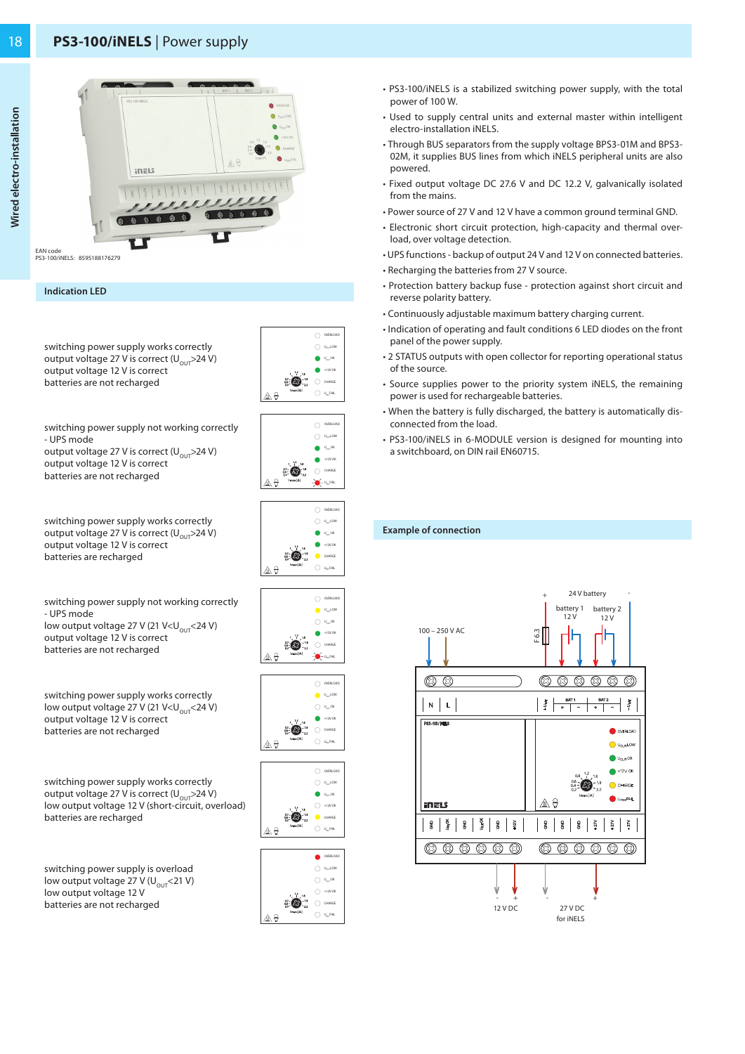

## **Indication LED**

switching power supply works correctly output voltage 27 V is correct ( $U_{\text{out}}$ >24 V) output voltage 12 V is correct batteries are not recharged

switching power supply not working correctly - UPS mode output voltage 27 V is correct ( $U_{\text{out}}$  > 24 V) output voltage 12 V is correct batteries are not recharged

switching power supply works correctly output voltage 27 V is correct ( $U_{\text{out}}$  > 24 V) output voltage 12 V is correct batteries are recharged

switching power supply not working correctly - UPS mode low output voltage 27 V (21 V<U<sub>OUT</sub><24 V) output voltage 12 V is correct batteries are not recharged

switching power supply works correctly low output voltage 27 V (21 V<U<sub>OUT</sub><24 V) output voltage 12 V is correct batteries are not recharged

switching power supply works correctly output voltage 27 V is correct ( $U_{\text{out}}$  > 24 V) low output voltage 12 V (short-circuit, overload) batteries are recharged

switching power supply is overload low output voltage 27 V ( $U_{\text{out}}$ <21 V) low output voltage 12 V batteries are not recharged













|   |         | OVERLOAD               |
|---|---------|------------------------|
|   |         | $U_{\alpha\alpha}$ LOW |
|   |         | $U_{\alpha\alpha}$ OK  |
|   | ,16     | $+12V$ OK              |
|   |         | CHARGE                 |
| Η | Imax[A] | $U_{\rm res}$ FAIL     |

- PS3-100/iNELS is a stabilized switching power supply, with the total power of 100 W.
- Used to supply central units and external master within intelligent electro-installation iNELS.
- Through BUS separators from the supply voltage BPS3-01M and BPS3- 02M, it supplies BUS lines from which iNELS peripheral units are also powered.
- Fixed output voltage DC 27.6 V and DC 12.2 V, galvanically isolated from the mains.
- Power source of 27 V and 12 V have a common ground terminal GND.
- Electronic short circuit protection, high-capacity and thermal overload, over voltage detection.
- UPS functions backup of output 24 V and 12 V on connected batteries.
- Recharging the batteries from 27 V source.
- Protection battery backup fuse protection against short circuit and reverse polarity battery.
- Continuously adjustable maximum battery charging current.
- Indication of operating and fault conditions 6 LED diodes on the front panel of the power supply.
- 2 STATUS outputs with open collector for reporting operational status of the source.
- Source supplies power to the priority system iNELS, the remaining power is used for rechargeable batteries.
- When the battery is fully discharged, the battery is automatically disconnected from the load.
- PS3-100/iNELS in 6-MODULE version is designed for mounting into a switchboard, on DIN rail EN60715.

## **Example of connection**



18